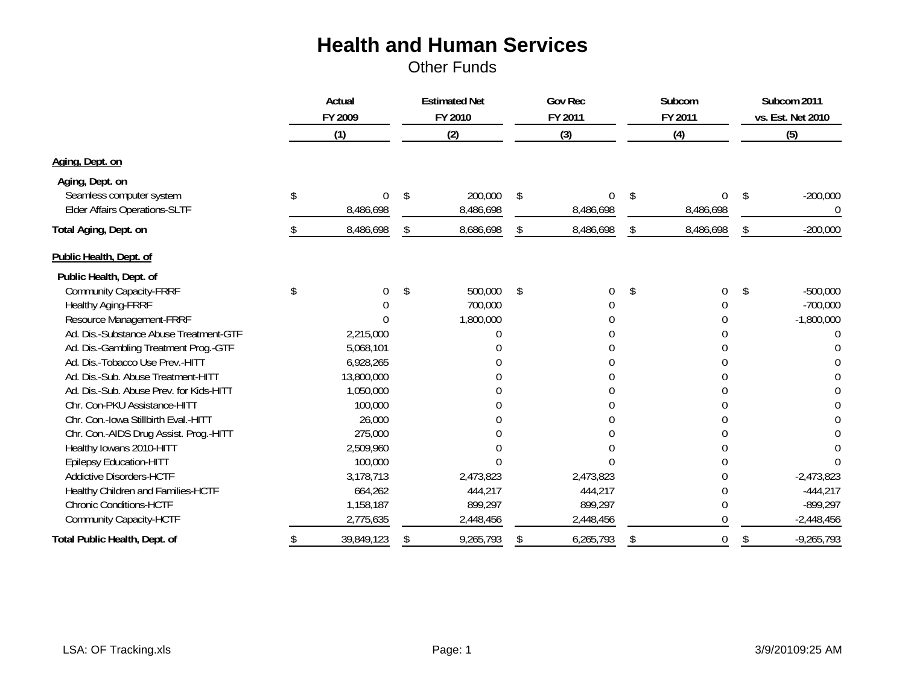|                                                                                     | Actual<br>FY 2009 |                           | <b>Estimated Net</b><br>FY 2010 |                      | <b>Gov Rec</b><br>FY 2011 |                | Subcom<br>FY 2011 |                | Subcom 2011<br>vs. Est. Net 2010 |              |
|-------------------------------------------------------------------------------------|-------------------|---------------------------|---------------------------------|----------------------|---------------------------|----------------|-------------------|----------------|----------------------------------|--------------|
|                                                                                     |                   | (1)                       |                                 | (2)                  |                           | (3)            |                   | (4)            |                                  | (5)          |
| Aging, Dept. on                                                                     |                   |                           |                                 |                      |                           |                |                   |                |                                  |              |
| Aging, Dept. on<br>Seamless computer system<br><b>Elder Affairs Operations-SLTF</b> |                   | <sup>0</sup><br>8,486,698 | \$.                             | 200,000<br>8,486,698 | \$                        | 0<br>8,486,698 | \$                | 0<br>8,486,698 | \$                               | $-200,000$   |
| Total Aging, Dept. on                                                               |                   | 8,486,698                 | <sup>\$</sup>                   | 8,686,698            | \$.                       | 8,486,698      |                   | 8,486,698      | \$                               | $-200,000$   |
| Public Health, Dept. of                                                             |                   |                           |                                 |                      |                           |                |                   |                |                                  |              |
| Public Health, Dept. of                                                             |                   |                           |                                 |                      |                           |                |                   |                |                                  |              |
| <b>Community Capacity-FRRF</b>                                                      | \$                | $\Omega$                  | \$                              | 500,000              | \$                        | 0              | \$                | 0              | \$                               | $-500,000$   |
| <b>Healthy Aging-FRRF</b>                                                           |                   |                           |                                 | 700,000              |                           |                |                   |                |                                  | $-700,000$   |
| Resource Management-FRRF                                                            |                   |                           |                                 | 1,800,000            |                           |                |                   |                |                                  | $-1,800,000$ |
| Ad. Dis.-Substance Abuse Treatment-GTF                                              |                   | 2,215,000                 |                                 |                      |                           |                |                   |                |                                  |              |
| Ad. Dis.-Gambling Treatment Prog.-GTF                                               |                   | 5,068,101                 |                                 |                      |                           |                |                   |                |                                  |              |
| Ad. Dis.-Tobacco Use Prev.-HITT                                                     |                   | 6,928,265                 |                                 |                      |                           |                |                   |                |                                  |              |
| Ad. Dis.-Sub. Abuse Treatment-HITT                                                  |                   | 13,800,000                |                                 |                      |                           |                |                   |                |                                  |              |
| Ad. Dis.-Sub. Abuse Prev. for Kids-HITT                                             |                   | 1,050,000                 |                                 |                      |                           |                |                   |                |                                  |              |
| Chr. Con-PKU Assistance-HITT                                                        |                   | 100,000                   |                                 |                      |                           |                |                   |                |                                  |              |
| Chr. Con.-Iowa Stillbirth Eval.-HITT                                                |                   | 26,000                    |                                 |                      |                           |                |                   |                |                                  |              |
| Chr. Con.-AIDS Drug Assist. Prog.-HITT                                              |                   | 275,000                   |                                 |                      |                           |                |                   |                |                                  |              |
| Healthy Iowans 2010-HITT                                                            |                   | 2,509,960                 |                                 |                      |                           |                |                   |                |                                  |              |
| <b>Epilepsy Education-HITT</b>                                                      |                   | 100,000                   |                                 |                      |                           |                |                   |                |                                  |              |
| <b>Addictive Disorders-HCTF</b>                                                     |                   | 3,178,713                 |                                 | 2,473,823            |                           | 2,473,823      |                   |                |                                  | $-2,473,823$ |
| Healthy Children and Families-HCTF                                                  |                   | 664,262                   |                                 | 444,217              |                           | 444,217        |                   |                |                                  | $-444,217$   |
| <b>Chronic Conditions-HCTF</b>                                                      |                   | 1,158,187                 |                                 | 899,297              |                           | 899,297        |                   |                |                                  | $-899,297$   |
| <b>Community Capacity-HCTF</b>                                                      |                   | 2,775,635                 |                                 | 2,448,456            |                           | 2,448,456      |                   |                |                                  | $-2,448,456$ |
| Total Public Health, Dept. of                                                       | S                 | 39,849,123                | S                               | 9,265,793            | S                         | 6,265,793      | S                 | 0              | \$                               | $-9,265,793$ |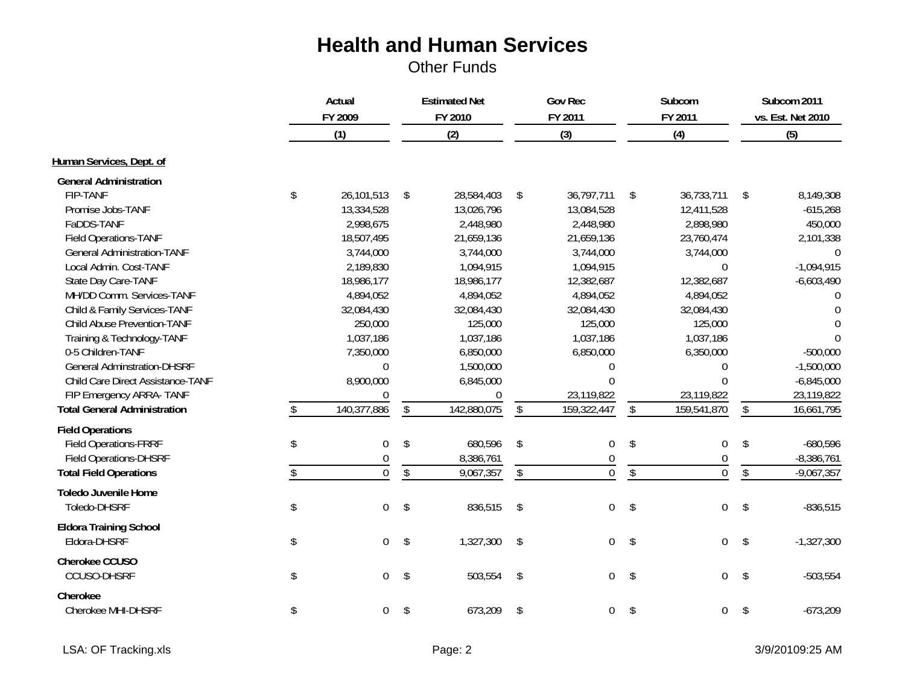|                                     | Actual<br>FY 2009      |                         | <b>Estimated Net</b><br>FY 2010 | <b>Gov Rec</b><br>FY 2011 |                  | Subcom<br>FY 2011       |                  | Subcom 2011<br>vs. Est. Net 2010 |              |
|-------------------------------------|------------------------|-------------------------|---------------------------------|---------------------------|------------------|-------------------------|------------------|----------------------------------|--------------|
|                                     | (1)                    |                         | (2)                             |                           | (3)              |                         | (4)              |                                  | (5)          |
| Human Services, Dept. of            |                        |                         |                                 |                           |                  |                         |                  |                                  |              |
| <b>General Administration</b>       |                        |                         |                                 |                           |                  |                         |                  |                                  |              |
| <b>FIP-TANF</b>                     | \$<br>26,101,513       | \$                      | 28,584,403                      | \$                        | 36,797,711       | \$                      | 36,733,711       | \$                               | 8,149,308    |
| Promise Jobs-TANF                   | 13,334,528             |                         | 13,026,796                      |                           | 13,084,528       |                         | 12,411,528       |                                  | $-615,268$   |
| FaDDS-TANF                          | 2,998,675              |                         | 2,448,980                       |                           | 2,448,980        |                         | 2,898,980        |                                  | 450,000      |
| Field Operations-TANF               | 18,507,495             |                         | 21,659,136                      |                           | 21,659,136       |                         | 23,760,474       |                                  | 2,101,338    |
| <b>General Administration-TANF</b>  | 3,744,000              |                         | 3,744,000                       |                           | 3,744,000        |                         | 3,744,000        |                                  | $\Omega$     |
| Local Admin. Cost-TANF              | 2,189,830              |                         | 1,094,915                       |                           | 1,094,915        |                         | $\theta$         |                                  | $-1,094,915$ |
| State Day Care-TANF                 | 18,986,177             |                         | 18,986,177                      |                           | 12,382,687       |                         | 12,382,687       |                                  | $-6,603,490$ |
| MH/DD Comm. Services-TANF           | 4,894,052              |                         | 4,894,052                       |                           | 4,894,052        |                         | 4,894,052        |                                  | $\Omega$     |
| Child & Family Services-TANF        | 32,084,430             |                         | 32,084,430                      |                           | 32,084,430       |                         | 32,084,430       |                                  | $\Omega$     |
| Child Abuse Prevention-TANF         | 250,000                |                         | 125,000                         |                           | 125,000          |                         | 125,000          |                                  | $\Omega$     |
| Training & Technology-TANF          | 1,037,186              |                         | 1,037,186                       |                           | 1,037,186        |                         | 1,037,186        |                                  | $\Omega$     |
| 0-5 Children-TANF                   | 7,350,000              |                         | 6,850,000                       |                           | 6,850,000        |                         | 6,350,000        |                                  | $-500,000$   |
| <b>General Adminstration-DHSRF</b>  | $\overline{0}$         |                         | 1,500,000                       |                           | 0                |                         | $\mathbf 0$      |                                  | $-1,500,000$ |
| Child Care Direct Assistance-TANF   | 8,900,000              |                         | 6,845,000                       |                           | $\Omega$         |                         | $\overline{0}$   |                                  | $-6,845,000$ |
| FIP Emergency ARRA- TANF            | $\Omega$               |                         | $\boldsymbol{0}$                |                           | 23,119,822       |                         | 23,119,822       |                                  | 23,119,822   |
| <b>Total General Administration</b> | 140,377,886            | \$                      | 142,880,075                     | \$                        | 159,322,447      | \$                      | 159,541,870      | $\sqrt[6]{\frac{1}{2}}$          | 16,661,795   |
| <b>Field Operations</b>             |                        |                         |                                 |                           |                  |                         |                  |                                  |              |
| <b>Field Operations-FRRF</b>        | \$<br>$\boldsymbol{0}$ | \$                      | 680,596                         | \$                        | $\mathbf 0$      | \$                      | $\boldsymbol{0}$ | \$                               | $-680,596$   |
| <b>Field Operations-DHSRF</b>       | 0                      |                         | 8,386,761                       |                           | 0                |                         | $\overline{0}$   |                                  | $-8,386,761$ |
| <b>Total Field Operations</b>       | \$<br>$\overline{0}$   | $\,$                    | 9,067,357                       | \$                        | $\boldsymbol{0}$ | $\sqrt[6]{\frac{1}{2}}$ | $\overline{0}$   | $\sqrt[6]{\frac{1}{2}}$          | $-9,067,357$ |
| <b>Toledo Juvenile Home</b>         |                        |                         |                                 |                           |                  |                         |                  |                                  |              |
| Toledo-DHSRF                        | \$<br>$\overline{0}$   | $\sqrt[6]{\frac{1}{2}}$ | 836,515                         | $\sqrt[6]{\frac{1}{2}}$   | $\overline{0}$   | \$                      | $\mathbf 0$      | \$                               | $-836,515$   |
| <b>Eldora Training School</b>       |                        |                         |                                 |                           |                  |                         |                  |                                  |              |
| Eldora-DHSRF                        | \$<br>$\boldsymbol{0}$ | \$                      | 1,327,300                       | \$                        | $\overline{0}$   | $\sqrt[6]{}$            | $\boldsymbol{0}$ | \$                               | $-1,327,300$ |
| Cherokee CCUSO                      |                        |                         |                                 |                           |                  |                         |                  |                                  |              |
| CCUSO-DHSRF                         | \$<br>$\mathbf 0$      | \$                      | 503,554                         | \$                        | $\mathbf 0$      | \$                      | $\boldsymbol{0}$ | \$                               | $-503,554$   |
| Cherokee                            |                        |                         |                                 |                           |                  |                         |                  |                                  |              |
| Cherokee MHI-DHSRF                  | \$<br>0                | \$                      | 673,209                         | \$                        | $\overline{0}$   | \$                      | $\boldsymbol{0}$ | \$                               | $-673,209$   |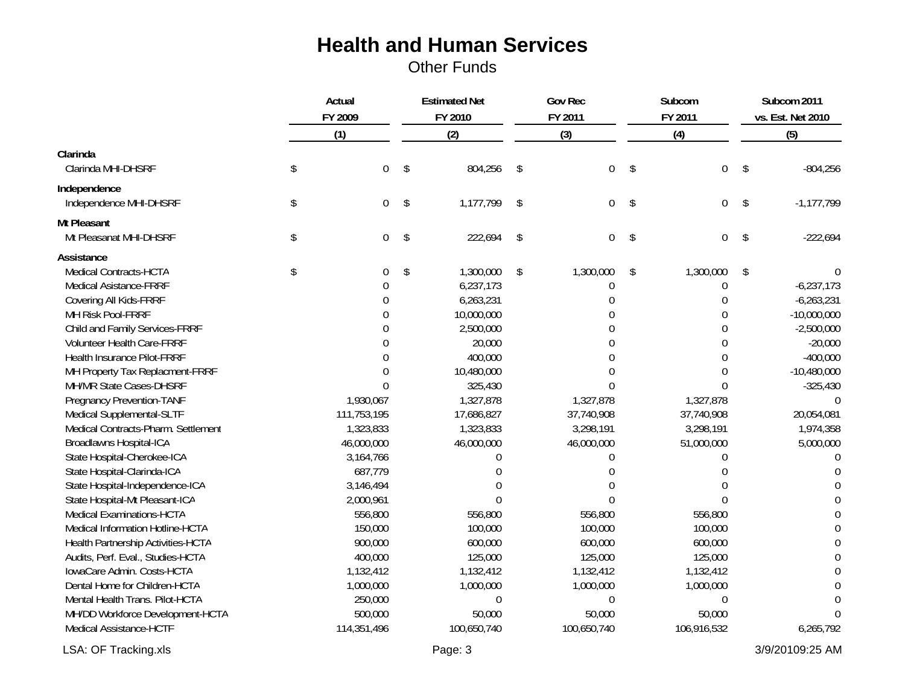|                                        | Actual<br>FY 2009 |             | <b>Estimated Net</b><br>FY 2010 |             | <b>Gov Rec</b><br>FY 2011 |                | Subcom<br>FY 2011       |                  | Subcom 2011<br>vs. Est. Net 2010 |                |
|----------------------------------------|-------------------|-------------|---------------------------------|-------------|---------------------------|----------------|-------------------------|------------------|----------------------------------|----------------|
|                                        |                   |             |                                 |             |                           |                |                         |                  |                                  |                |
|                                        |                   | (1)         |                                 | (2)         |                           | (3)            |                         | (4)              |                                  | (5)            |
| Clarinda<br>Clarinda MHI-DHSRF         | \$                | 0           | \$                              | 804,256     | \$                        | $\overline{0}$ | $\sqrt[6]{\frac{1}{2}}$ | $\mathbf 0$      | \$                               | $-804,256$     |
|                                        |                   |             |                                 |             |                           |                |                         |                  |                                  |                |
| Independence<br>Independence MHI-DHSRF | \$                | 0           | $\sqrt[6]{\frac{1}{2}}$         | 1,177,799   | \$                        | $\overline{0}$ | \$                      | $\boldsymbol{0}$ | \$                               | $-1, 177, 799$ |
| Mt Pleasant                            |                   |             |                                 |             |                           |                |                         |                  |                                  |                |
| Mt Pleasanat MHI-DHSRF                 | $\mathcal{S}$     | 0           | \$                              | 222,694     | \$                        | $\Omega$       | $\sqrt[6]{\frac{1}{2}}$ | $\mathbf 0$      | \$                               | $-222,694$     |
| Assistance                             |                   |             |                                 |             |                           |                |                         |                  |                                  |                |
| Medical Contracts-HCTA                 | \$                | $\theta$    | \$                              | 1,300,000   | \$                        | 1,300,000      | \$                      | 1,300,000        | \$                               |                |
| <b>Medical Asistance-FRRF</b>          |                   |             |                                 | 6,237,173   |                           | $\Omega$       |                         | 0                |                                  | $-6,237,173$   |
| Covering All Kids-FRRF                 |                   | U           |                                 | 6,263,231   |                           | $\Omega$       |                         | 0                |                                  | $-6,263,231$   |
| MH Risk Pool-FRRF                      |                   |             |                                 | 10,000,000  |                           |                |                         | 0                |                                  | $-10,000,000$  |
| Child and Family Services-FRRF         |                   |             |                                 | 2,500,000   |                           |                |                         | 0                |                                  | $-2,500,000$   |
| Volunteer Health Care-FRRF             |                   |             |                                 | 20,000      |                           |                |                         | $\Omega$         |                                  | $-20,000$      |
| Health Insurance Pilot-FRRF            |                   |             |                                 | 400,000     |                           |                |                         | $\Omega$         |                                  | $-400,000$     |
| MH Property Tax Replacment-FRRF        |                   |             |                                 | 10,480,000  |                           |                |                         | 0                |                                  | $-10,480,000$  |
| MH/MR State Cases-DHSRF                |                   | $\Omega$    |                                 | 325,430     |                           |                |                         | $\Omega$         |                                  | $-325,430$     |
| Pregnancy Prevention-TANF              |                   | 1,930,067   |                                 | 1,327,878   |                           | 1,327,878      |                         | 1,327,878        |                                  | $\theta$       |
| Medical Supplemental-SLTF              |                   | 111,753,195 |                                 | 17,686,827  |                           | 37,740,908     |                         | 37,740,908       |                                  | 20,054,081     |
| Medical Contracts-Pharm. Settlement    |                   | 1,323,833   |                                 | 1,323,833   |                           | 3,298,191      |                         | 3,298,191        |                                  | 1,974,358      |
| Broadlawns Hospital-ICA                |                   | 46,000,000  |                                 | 46,000,000  |                           | 46,000,000     |                         | 51,000,000       |                                  | 5,000,000      |
| State Hospital-Cherokee-ICA            |                   | 3,164,766   |                                 | 0           |                           | 0              |                         | $\theta$         |                                  | $\Omega$       |
| State Hospital-Clarinda-ICA            |                   | 687,779     |                                 | $\Omega$    |                           |                |                         | ∩                |                                  | n              |
| State Hospital-Independence-ICA        |                   | 3,146,494   |                                 | $\Omega$    |                           |                |                         |                  |                                  | $\bigcap$      |
| State Hospital-Mt Pleasant-ICA         |                   | 2,000,961   |                                 | $\Omega$    |                           |                |                         | $\Omega$         |                                  | $\Omega$       |
| <b>Medical Examinations-HCTA</b>       |                   | 556,800     |                                 | 556,800     |                           | 556,800        |                         | 556,800          |                                  | $\Omega$       |
| Medical Information Hotline-HCTA       |                   | 150,000     |                                 | 100,000     |                           | 100,000        |                         | 100,000          |                                  | $\Omega$       |
| Health Partnership Activities-HCTA     |                   | 900,000     |                                 | 600,000     |                           | 600,000        |                         | 600,000          |                                  | $\Omega$       |
| Audits, Perf. Eval., Studies-HCTA      |                   | 400,000     |                                 | 125,000     |                           | 125,000        |                         | 125,000          |                                  | $\Omega$       |
| IowaCare Admin. Costs-HCTA             |                   | 1,132,412   |                                 | 1,132,412   |                           | 1,132,412      |                         | 1,132,412        |                                  | $\Omega$       |
| Dental Home for Children-HCTA          |                   | 1,000,000   |                                 | 1,000,000   |                           | 1,000,000      |                         | 1,000,000        |                                  | $\Omega$       |
| Mental Health Trans. Pilot-HCTA        |                   | 250,000     |                                 | 0           |                           | 0              |                         | 0                |                                  | $\theta$       |
| MH/DD Workforce Development-HCTA       |                   | 500,000     |                                 | 50,000      |                           | 50,000         |                         | 50,000           |                                  | $\Omega$       |
| Medical Assistance-HCTF                |                   | 114,351,496 |                                 | 100,650,740 |                           | 100,650,740    |                         | 106,916,532      |                                  | 6,265,792      |

LSA: OF Tracking.xls 3/9/20109:25 AM